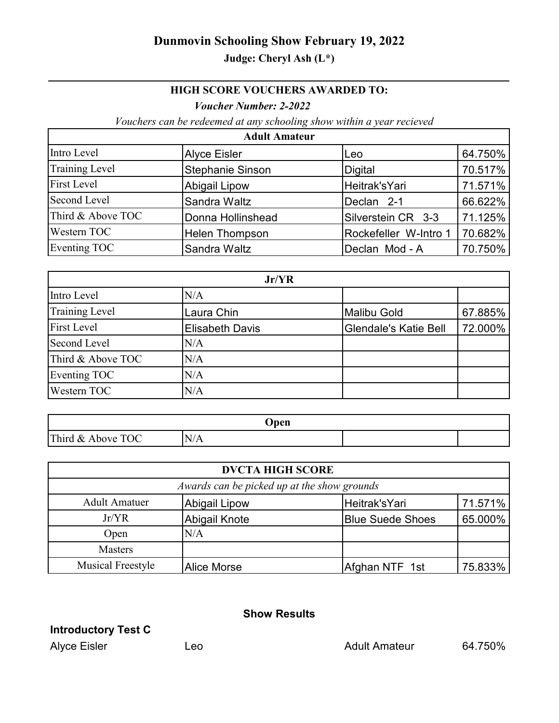# **Dunmovin Schooling Show February 19, 2022**

## **Judge: Cheryl Ash (L\*)**

### **HIGH SCORE VOUCHERS AWARDED TO:**

#### *Voucher Number: 2-2022*

*Vouchers can be redeemed at any schooling show within a year recieved* 

| <b>Adult Amateur</b>  |                         |                       |         |
|-----------------------|-------------------------|-----------------------|---------|
| Intro Level           | <b>Alyce Eisler</b>     | Leo                   | 64.750% |
| <b>Training Level</b> | <b>Stephanie Sinson</b> | <b>Digital</b>        | 70.517% |
| <b>First Level</b>    | <b>Abigail Lipow</b>    | Heitrak'sYari         | 71.571% |
| Second Level          | Sandra Waltz            | Declan 2-1            | 66.622% |
| Third & Above TOC     | Donna Hollinshead       | Silverstein CR 3-3    | 71.125% |
| Western TOC           | <b>Helen Thompson</b>   | Rockefeller W-Intro 1 | 70.682% |
| Eventing TOC          | Sandra Waltz            | Declan Mod - A        | 70.750% |

| Jr/YR                 |                        |                              |         |
|-----------------------|------------------------|------------------------------|---------|
| Intro Level           | N/A                    |                              |         |
| <b>Training Level</b> | Laura Chin             | <b>Malibu Gold</b>           | 67.885% |
| <b>First Level</b>    | <b>Elisabeth Davis</b> | <b>Glendale's Katie Bell</b> | 72.000% |
| Second Level          | N/A                    |                              |         |
| Third & Above TOC     | N/A                    |                              |         |
| Eventing TOC          | N/A                    |                              |         |
| Western TOC           | N/A                    |                              |         |

| Open                   |                                          |  |  |
|------------------------|------------------------------------------|--|--|
| ОC<br>Third &<br>Above | $\mathbb{N}'$<br>$\mathsf{N}/\mathsf{A}$ |  |  |

| <b>DVCTA HIGH SCORE</b>                     |                    |                         |         |
|---------------------------------------------|--------------------|-------------------------|---------|
| Awards can be picked up at the show grounds |                    |                         |         |
| <b>Adult Amatuer</b>                        | Abigail Lipow      | Heitrak'sYari           | 71.571% |
| Jr/VR                                       | Abigail Knote      | <b>Blue Suede Shoes</b> | 65.000% |
| Open                                        | N/A                |                         |         |
| <b>Masters</b>                              |                    |                         |         |
| <b>Musical Freestyle</b>                    | <b>Alice Morse</b> | Afghan NTF 1st          | 75.833% |

### **Show Results**

**Introductory Test C**

Alyce Eisler **Leo** Leo **Adult Amateur** 64.750%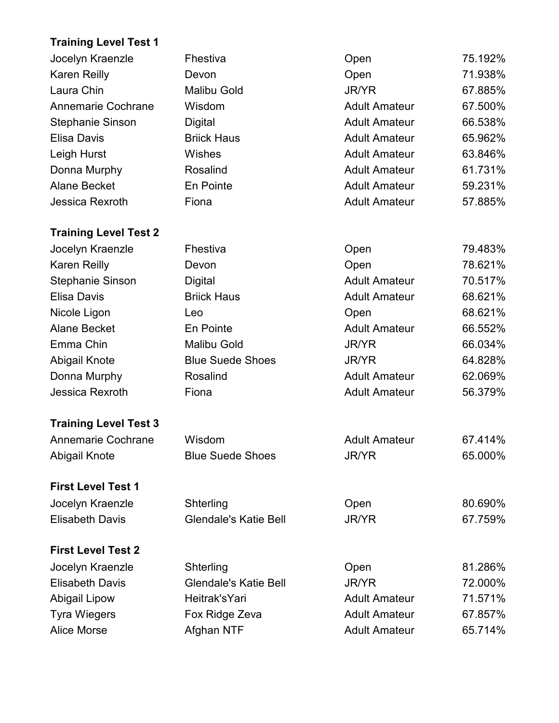# **Training Level Test 1**

| Jocelyn Kraenzle             | Fhestiva                     | Open                 | 75.192% |
|------------------------------|------------------------------|----------------------|---------|
| <b>Karen Reilly</b>          | Devon                        | Open                 | 71.938% |
| Laura Chin                   | <b>Malibu Gold</b>           | <b>JR/YR</b>         | 67.885% |
| <b>Annemarie Cochrane</b>    | Wisdom                       | <b>Adult Amateur</b> | 67.500% |
| <b>Stephanie Sinson</b>      | Digital                      | <b>Adult Amateur</b> | 66.538% |
| <b>Elisa Davis</b>           | <b>Briick Haus</b>           | <b>Adult Amateur</b> | 65.962% |
| Leigh Hurst                  | Wishes                       | <b>Adult Amateur</b> | 63.846% |
| Donna Murphy                 | Rosalind                     | <b>Adult Amateur</b> | 61.731% |
| <b>Alane Becket</b>          | En Pointe                    | <b>Adult Amateur</b> | 59.231% |
| Jessica Rexroth              | Fiona                        | <b>Adult Amateur</b> | 57.885% |
| <b>Training Level Test 2</b> |                              |                      |         |
| Jocelyn Kraenzle             | Fhestiva                     | Open                 | 79.483% |
| <b>Karen Reilly</b>          | Devon                        | Open                 | 78.621% |
| <b>Stephanie Sinson</b>      | Digital                      | <b>Adult Amateur</b> | 70.517% |
| <b>Elisa Davis</b>           | <b>Briick Haus</b>           | <b>Adult Amateur</b> | 68.621% |
| Nicole Ligon                 | Leo                          | Open                 | 68.621% |
| <b>Alane Becket</b>          | En Pointe                    | <b>Adult Amateur</b> | 66.552% |
| Emma Chin                    | <b>Malibu Gold</b>           | <b>JR/YR</b>         | 66.034% |
| <b>Abigail Knote</b>         | <b>Blue Suede Shoes</b>      | <b>JR/YR</b>         | 64.828% |
| Donna Murphy                 | Rosalind                     | <b>Adult Amateur</b> | 62.069% |
| Jessica Rexroth              | Fiona                        | <b>Adult Amateur</b> | 56.379% |
| <b>Training Level Test 3</b> |                              |                      |         |
| Annemarie Cochrane           | Wisdom                       | <b>Adult Amateur</b> | 67.414% |
| Abigail Knote                | <b>Blue Suede Shoes</b>      | JR/YR                | 65.000% |
| <b>First Level Test 1</b>    |                              |                      |         |
| Jocelyn Kraenzle             | Shterling                    | Open                 | 80.690% |
| <b>Elisabeth Davis</b>       | Glendale's Katie Bell        | <b>JR/YR</b>         | 67.759% |
| <b>First Level Test 2</b>    |                              |                      |         |
| Jocelyn Kraenzle             | Shterling                    | Open                 | 81.286% |
| <b>Elisabeth Davis</b>       | <b>Glendale's Katie Bell</b> | <b>JR/YR</b>         | 72.000% |
| <b>Abigail Lipow</b>         | Heitrak'sYari                | <b>Adult Amateur</b> | 71.571% |
| <b>Tyra Wiegers</b>          | Fox Ridge Zeva               | <b>Adult Amateur</b> | 67.857% |
| <b>Alice Morse</b>           | Afghan NTF                   | <b>Adult Amateur</b> | 65.714% |